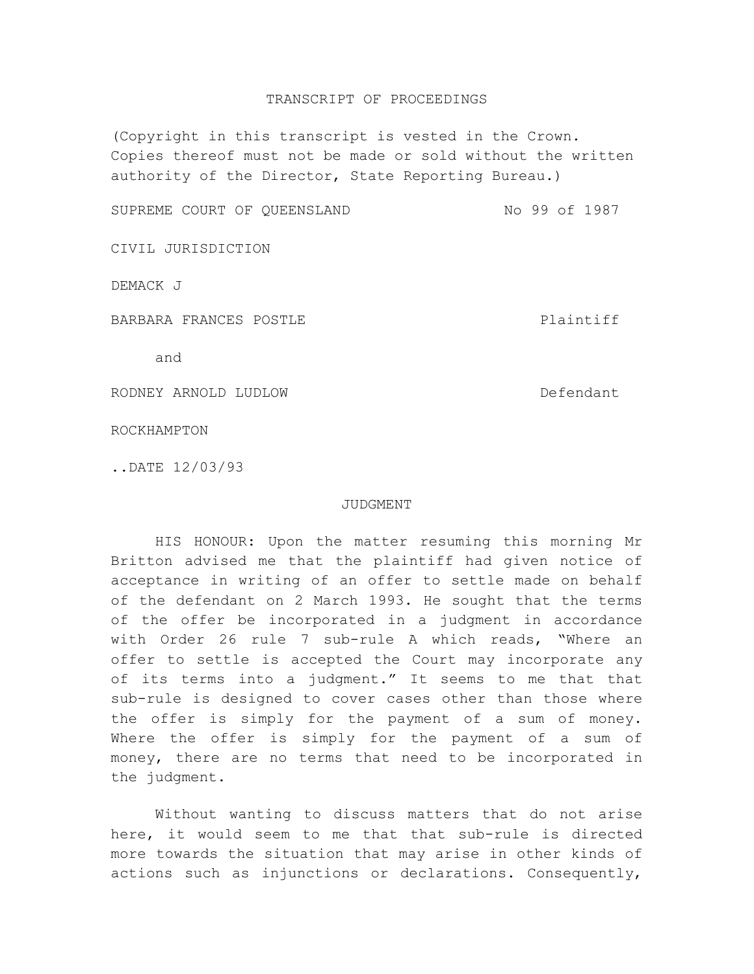## TRANSCRIPT OF PROCEEDINGS

(Copyright in this transcript is vested in the Crown. Copies thereof must not be made or sold without the written authority of the Director, State Reporting Bureau.)

SUPREME COURT OF QUEENSLAND NO 99 of 1987

CIVIL JURISDICTION

DEMACK J

BARBARA FRANCES POSTLE POST PLAINTIFF

and

RODNEY ARNOLD LUDLOW DESCRIPTION DEfendant

ROCKHAMPTON

..DATE 12/03/93

## JUDGMENT

HIS HONOUR: Upon the matter resuming this morning Mr Britton advised me that the plaintiff had given notice of acceptance in writing of an offer to settle made on behalf of the defendant on 2 March 1993. He sought that the terms of the offer be incorporated in a judgment in accordance with Order 26 rule 7 sub-rule A which reads, "Where an offer to settle is accepted the Court may incorporate any of its terms into a judgment." It seems to me that that sub-rule is designed to cover cases other than those where the offer is simply for the payment of a sum of money. Where the offer is simply for the payment of a sum of money, there are no terms that need to be incorporated in the judgment.

Without wanting to discuss matters that do not arise here, it would seem to me that that sub-rule is directed more towards the situation that may arise in other kinds of actions such as injunctions or declarations. Consequently,